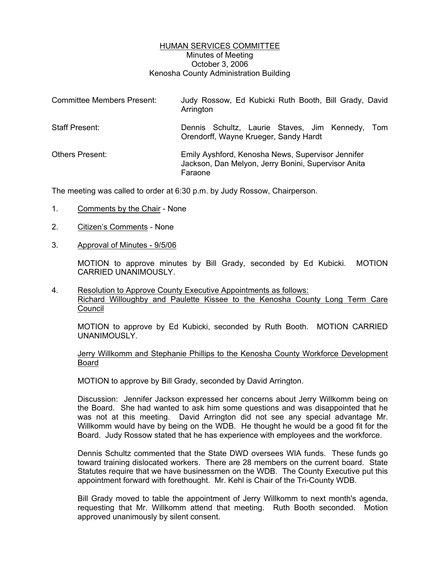# HUMAN SERVICES COMMITTEE Minutes of Meeting October 3, 2006 Kenosha County Administration Building

| <b>Committee Members Present:</b> | Judy Rossow, Ed Kubicki Ruth Booth, Bill Grady, David<br>Arrington                                                  |
|-----------------------------------|---------------------------------------------------------------------------------------------------------------------|
| <b>Staff Present:</b>             | Dennis Schultz, Laurie Staves, Jim Kennedy,<br>Tom<br>Orendorff, Wayne Krueger, Sandy Hardt                         |
| <b>Others Present:</b>            | Emily Ayshford, Kenosha News, Supervisor Jennifer<br>Jackson, Dan Melyon, Jerry Bonini, Supervisor Anita<br>Faraone |

The meeting was called to order at 6:30 p.m. by Judy Rossow, Chairperson.

- 1. Comments by the Chair None
- 2. Citizen's Comments None
- 3. Approval of Minutes 9/5/06

MOTION to approve minutes by Bill Grady, seconded by Ed Kubicki. MOTION CARRIED UNANIMOUSLY.

4. Resolution to Approve County Executive Appointments as follows: Richard Willoughby and Paulette Kissee to the Kenosha County Long Term Care Council

MOTION to approve by Ed Kubicki, seconded by Ruth Booth. MOTION CARRIED UNANIMOUSLY.

Jerry Willkomm and Stephanie Phillips to the Kenosha County Workforce Development Board

MOTION to approve by Bill Grady, seconded by David Arrington.

Discussion: Jennifer Jackson expressed her concerns about Jerry Willkomm being on the Board. She had wanted to ask him some questions and was disappointed that he was not at this meeting. David Arrington did not see any special advantage Mr. Willkomm would have by being on the WDB. He thought he would be a good fit for the Board. Judy Rossow stated that he has experience with employees and the workforce.

Dennis Schultz commented that the State DWD oversees WIA funds. These funds go toward training dislocated workers. There are 28 members on the current board. State Statutes require that we have businessmen on the WDB. The County Executive put this appointment forward with forethought. Mr. Kehl is Chair of the Tri-County WDB.

Bill Grady moved to table the appointment of Jerry Willkomm to next month's agenda, requesting that Mr. Willkomm attend that meeting. Ruth Booth seconded. Motion approved unanimously by silent consent.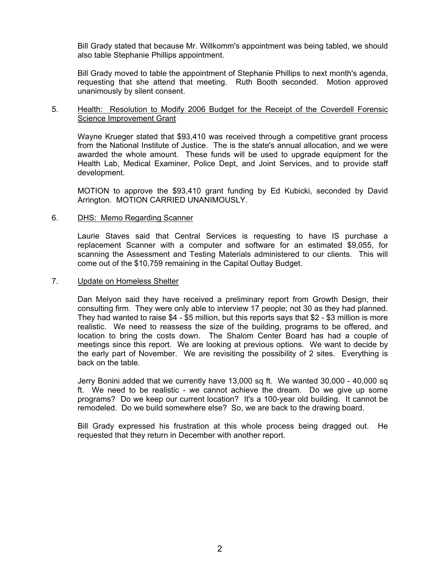Bill Grady stated that because Mr. Willkomm's appointment was being tabled, we should also table Stephanie Phillips appointment.

Bill Grady moved to table the appointment of Stephanie Phillips to next month's agenda, requesting that she attend that meeting. Ruth Booth seconded. Motion approved unanimously by silent consent.

# 5. Health: Resolution to Modify 2006 Budget for the Receipt of the Coverdell Forensic Science Improvement Grant

Wayne Krueger stated that \$93,410 was received through a competitive grant process from the National Institute of Justice. The is the state's annual allocation, and we were awarded the whole amount. These funds will be used to upgrade equipment for the Health Lab, Medical Examiner, Police Dept, and Joint Services, and to provide staff development.

MOTION to approve the \$93,410 grant funding by Ed Kubicki, seconded by David Arrington. MOTION CARRIED UNANIMOUSLY.

### 6. DHS: Memo Regarding Scanner

Laurie Staves said that Central Services is requesting to have IS purchase a replacement Scanner with a computer and software for an estimated \$9,055, for scanning the Assessment and Testing Materials administered to our clients. This will come out of the \$10,759 remaining in the Capital Outlay Budget.

### 7. Update on Homeless Shelter

Dan Melyon said they have received a preliminary report from Growth Design, their consulting firm. They were only able to interview 17 people; not 30 as they had planned. They had wanted to raise \$4 - \$5 million, but this reports says that \$2 - \$3 million is more realistic. We need to reassess the size of the building, programs to be offered, and location to bring the costs down. The Shalom Center Board has had a couple of meetings since this report. We are looking at previous options. We want to decide by the early part of November. We are revisiting the possibility of 2 sites. Everything is back on the table.

Jerry Bonini added that we currently have 13,000 sq ft. We wanted 30,000 - 40,000 sq ft. We need to be realistic - we cannot achieve the dream. Do we give up some programs? Do we keep our current location? It's a 100-year old building. It cannot be remodeled. Do we build somewhere else? So, we are back to the drawing board.

Bill Grady expressed his frustration at this whole process being dragged out. He requested that they return in December with another report.